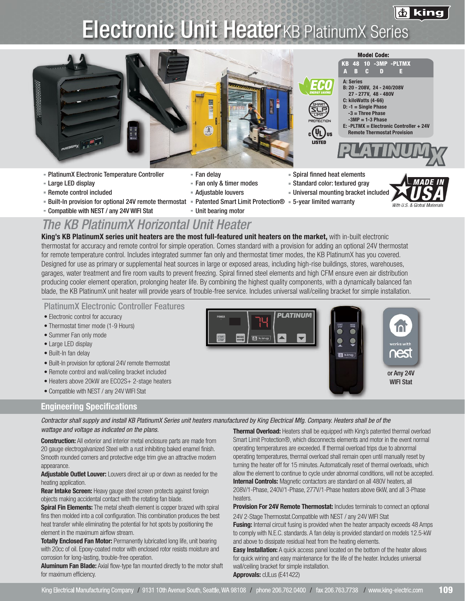

### **Electronic Unit HeaterKB PlatinumX Series**



### *The KB PlatinumX Horizontal Unit Heater*

King's KB PlatinumX series unit heaters are the most full-featured unit heaters on the market, with in-built electronic thermostat for accuracy and remote control for simple operation. Comes standard with a provision for adding an optional 24V thermostat for remote temperature control. Includes integrated summer fan only and thermostat timer modes, the KB PlatinumX has you covered. Designed for use as primary or supplemental heat sources in large or exposed areas, including high-rise buildings, stores, warehouses, garages, water treatment and fire room vaults to prevent freezing. Spiral finned steel elements and high CFM ensure even air distribution producing cooler element operation, prolonging heater life. By combining the highest quality components, with a dynamically balanced fan blade, the KB PlatinumX unit heater will provide years of trouble-free service. Includes universal wall/ceiling bracket for simple installation.

PlatinumX Electronic Controller Features

- Electronic control for accuracy
- Thermostat timer mode (1-9 Hours)
- Summer Fan only mode
- Large LED display
- Built-In fan delay
- Built-In provision for optional 24V remote thermostat
- Remote control and wall/ceiling bracket included
- Heaters above 20kW are ECO2S+ 2-stage heaters
- Compatible with NEST / any 24V WIFI Stat

### Engineering Specifications

*Contractor shall supply and install KB PlatinumX Series unit heaters manufactured by King Electrical Mfg. Company. Heaters shall be of the*  wattage and voltage as indicated on the plans. Thermal Overload: Heaters shall be equipped with King's patented thermal overload

**Construction:** All exterior and interior metal enclosure parts are made from 20 gauge electrogalvanized Steel with a rust inhibiting baked enamel finish. Smooth rounded corners and protective edge trim give an attractive modern appearance.

Adjustable Outlet Louver: Louvers direct air up or down as needed for the heating application.

Rear Intake Screen: Heavy gauge steel screen protects against foreign objects making accidental contact with the rotating fan blade.

Spiral Fin Elements: The metal sheath element is copper brazed with spiral fins then molded into a coil configuration. This combination produces the best heat transfer while eliminating the potential for hot spots by positioning the element in the maximum airflow stream.

**Totally Enclosed Fan Motor: Permanently lubricated long life, unit bearing** with 20cc of oil. Epoxy-coated motor with enclosed rotor resists moisture and corrosion for long-lasting, trouble-free operation.

Aluminum Fan Blade: Axial flow-type fan mounted directly to the motor shaft for maximum efficiency.





Smart Limit Protection®, which disconnects elements and motor in the event normal operating temperatures are exceeded. If thermal overload trips due to abnormal operating temperatures, thermal overload shall remain open until manually reset by turning the heater off for 15 minutes. Automatically reset of thermal overloads, which allow the element to continue to cycle under abnormal conditions, will not be accepted. **Internal Controls:** Magnetic contactors are standard on all 480V heaters, all 208V/1-Phase, 240V/1-Phase, 277V/1-Phase heaters above 6kW, and all 3-Phase heaters.

**Provision For 24V Remote Thermostat:** Includes terminals to connect an optional

24V 2-Stage Thermostat.Compatible with NEST / any 24V WIFI Stat **Fusing:** Internal circuit fusing is provided when the heater ampacity exceeds 48 Amps to comply with N.E.C. standards. A fan delay is provided standard on models 12.5-kW and above to dissipate residual heat from the heating elements.

**Easy Installation:** A quick access panel located on the bottom of the heater allows for quick wiring and easy maintenance for the life of the heater. Includes universal wall/ceiling bracket for simple installation. Approvals: cULus (E41422)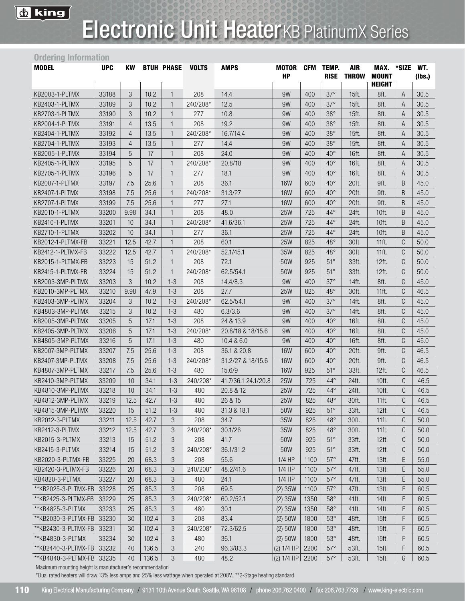

## Electronic Unit HeaterKB PlatinumX Series

| <b>Ordering Information</b> |            |           |       |                   |              |                     |                           |            |                             |                            |                                             |               |               |
|-----------------------------|------------|-----------|-------|-------------------|--------------|---------------------|---------------------------|------------|-----------------------------|----------------------------|---------------------------------------------|---------------|---------------|
| <b>MODEL</b>                | <b>UPC</b> | <b>KW</b> |       | <b>BTUH PHASE</b> | <b>VOLTS</b> | <b>AMPS</b>         | <b>MOTOR</b><br><b>HP</b> | <b>CFM</b> | <b>TEMP.</b><br><b>RISE</b> | <b>AIR</b><br><b>THROW</b> | MAX. *SIZE<br><b>MOUNT</b><br><b>HEIGHT</b> |               | WT.<br>(lbs.) |
| KB2003-1-PLTMX              | 33188      | 3         | 10.2  | $\mathbf{1}$      | 208          | 14.4                | 9W                        | 400        | $37^\circ$                  | 15ft.                      | 8ft.                                        | A             | 30.5          |
| KB2403-1-PLTMX              | 33189      | 3         | 10.2  | $\mathbf{1}$      | 240/208*     | 12.5                | 9W                        | 400        | $37^\circ$                  | 15ft.                      | 8ft.                                        | A             | 30.5          |
| KB2703-1-PLTMX              | 33190      | 3         | 10.2  | $\mathbf{1}$      | 277          | 10.8                | 9W                        | 400        | $38^\circ$                  | 15ft.                      | 8ft.                                        | A             | 30.5          |
| KB2004-1-PLTMX              | 33191      | 4         | 13.5  | $\mathbf{1}$      | 208          | 19.2                | 9W                        | 400        | $38^\circ$                  | 15ft.                      | 8ft.                                        | Α             | 30.5          |
| KB2404-1-PLTMX              | 33192      | 4         | 13.5  | $\mathbf{1}$      | 240/208*     | 16.7/14.4           | 9W                        | 400        | $38^\circ$                  | 15ft.                      | 8ft.                                        | A             | 30.5          |
| KB2704-1-PLTMX              | 33193      | 4         | 13.5  | $\mathbf{1}$      | 277          | 14.4                | 9W                        | 400        | $38^\circ$                  | 15ft.                      | 8ft.                                        | A             | 30.5          |
| KB2005-1-PLTMX              | 33194      | 5         | 17    | $\mathbf{1}$      | 208          | 24.0                | 9W                        | 400        | $40^{\circ}$                | 16ft.                      | 8ft.                                        | A             | 30.5          |
| KB2405-1-PLTMX              | 33195      | 5         | 17    | $\mathbf{1}$      | 240/208*     | 20.8/18             | 9W                        | 400        | $40^{\circ}$                | 16ft.                      | 8ft.                                        | A             | 30.5          |
| KB2705-1-PLTMX              | 33196      | 5         | 17    | $\mathbf{1}$      | 277          | 18.1                | 9W                        | 400        | $40^{\circ}$                | 16ft.                      | 8ft.                                        | A             | 30.5          |
| KB2007-1-PLTMX              | 33197      | 7.5       | 25.6  | $\mathbf{1}$      | 208          | 36.1                | <b>16W</b>                | 600        | $40^{\circ}$                | 20ft.                      | 9ft.                                        | B             | 45.0          |
| KB2407-1-PLTMX              | 33198      | 7.5       | 25.6  | $\mathbf{1}$      | 240/208*     | 31.3/27             | <b>16W</b>                | 600        | $40^{\circ}$                | 20ft.                      | 9ft.                                        | B             | 45.0          |
| <b>KB2707-1-PLTMX</b>       | 33199      | 7.5       | 25.6  | $\mathbf{1}$      | 277          | 27.1                | <b>16W</b>                | 600        | $40^{\circ}$                | 20ft.                      | 9ft.                                        | B             | 45.0          |
| KB2010-1-PLTMX              | 33200      | 9.98      | 34.1  | $\mathbf{1}$      | 208          | 48.0                | <b>25W</b>                | 725        | $44^\circ$                  | 24ft.                      | 10ft.                                       | B             | 45.0          |
| KB2410-1-PLTMX              | 33201      | 10        | 34.1  | $\mathbf{1}$      | 240/208*     | 41.6/36.1           | <b>25W</b>                | 725        | $44^\circ$                  | 24ft.                      | 10ft.                                       | B             | 45.0          |
| KB2710-1-PLTMX              | 33202      | 10        | 34.1  | $\mathbf{1}$      | 277          | 36.1                | <b>25W</b>                | 725        | $44^\circ$                  | 24ft.                      | 10ft.                                       | B             | 45.0          |
| KB2012-1-PLTMX-FB           | 33221      | 12.5      | 42.7  | $\mathbf{1}$      | 208          | 60.1                | <b>25W</b>                | 825        | $48^\circ$                  | 30ft.                      | $11$ ft.                                    | C             | 50.0          |
| KB2412-1-PLTMX-FB           | 33222      | 12.5      | 42.7  | $\mathbf{1}$      | 240/208*     | 52.1/45.1           | 35W                       | 825        | $48^\circ$                  | 30ft.                      | $11$ ft.                                    | C             | 50.0          |
| KB2015-1-PLTMX-FB           | 33223      | 15        | 51.2  | $\mathbf{1}$      | 208          | 72.1                | 50W                       | 925        | $51^\circ$                  | 33ft.                      | 12ft.                                       | $\mathcal{C}$ | 50.0          |
| KB2415-1-PLTMX-FB           | 33224      | 15        | 51.2  | $\mathbf{1}$      | 240/208*     | 62.5/54.1           | 50W                       | 925        | $51^\circ$                  | 33ft.                      | 12ft.                                       | C             | 50.0          |
| KB2003-3MP-PLTMX            | 33203      | 3         | 10.2  | $1 - 3$           | 208          | 14.4/8.3            | 9W                        | 400        | $37^\circ$                  | 14ft.                      | 8ft.                                        | C             | 45.0          |
| KB2010-3MP-PLTMX            | 33210      | 9.98      | 47.9  | $1 - 3$           | 208          | 27.7                | <b>25W</b>                | 825        | $48^\circ$                  | 30ft.                      | $11$ ft.                                    | $\mathcal{C}$ | 46.5          |
| KB2403-3MP-PLTMX            | 33204      | 3         | 10.2  | $1 - 3$           | 240/208*     | 62.5/54.1           | 9W                        | 400        | $37^\circ$                  | 14ft.                      | 8ft.                                        | C             | 45.0          |
| KB4803-3MP-PLTMX            | 33215      | 3         | 10.2  | $1 - 3$           | 480          | 6.3/3.6             | 9W                        | 400        | $37^\circ$                  | 14ft.                      | 8ft.                                        | C             | 45.0          |
| KB2005-3MP-PLTMX            | 33205      | 5         | 17.1  | $1 - 3$           | 208          | 24 & 13.9           | 9W                        | 400        | $40^{\circ}$                | 16ft.                      | 8ft.                                        | $\mathcal{C}$ | 45.0          |
| KB2405-3MP-PLTMX            | 33206      | 5         | 17.1  | $1 - 3$           | 240/208*     | 20.8/18 & 18/15.6   | 9W                        | 400        | $40^{\circ}$                | 16ft.                      | 8ft.                                        | C             | 45.0          |
| KB4805-3MP-PLTMX            | 33216      | 5         | 17.1  | $1 - 3$           | 480          | 10.4 & 6.0          | 9W                        | 400        | $40^{\circ}$                | 16ft.                      | 8ft.                                        | C             | 45.0          |
| KB2007-3MP-PLTMX            | 33207      | 7.5       | 25.6  | $1 - 3$           | 208          | 36.1 & 20.8         | <b>16W</b>                | 600        | $40^{\circ}$                | 20ft.                      | 9ft.                                        | C             | 46.5          |
| KB2407-3MP-PLTMX            | 33208      | 7.5       | 25.6  | $1 - 3$           | 240/208*     | 31.2/27 & 18/15.6   | <b>16W</b>                | 600        | $40^{\circ}$                | 20ft.                      | 9ft.                                        | C             | 46.5          |
| KB4807-3MP-PLTMX            | 33217      | 7.5       | 25.6  | $1 - 3$           | 480          | 15.6/9              | <b>16W</b>                | 925        | $51^\circ$                  | 33ft.                      | 12ft.                                       | C             | 46.5          |
| KB2410-3MP-PLTMX            | 33209      | 10        | 34.1  | $1 - 3$           | 240/208*     | 41.7/36.1 24.1/20.8 | <b>25W</b>                | 725        | $44^\circ$                  | 24ft.                      | 10ft.                                       | C             | 46.5          |
| KB4810-3MP-PLTMX            | 33218      | 10        | 34.1  | $1 - 3$           | 480          | 20.8 & 12           | <b>25W</b>                | 725        | $44^{\circ}$                | 24ft.                      | 10ft.                                       | C             | 46.5          |
| KB4812-3MP-PLTMX            | 33219      | 12.5      | 42.7  | $1 - 3$           | 480          | 26 & 15             | <b>25W</b>                | 825        | $48^{\circ}$                | 30ft.                      | 11ft.                                       | C             | 46.5          |
| KB4815-3MP-PLTMX            | 33220      | 15        | 51.2  | $1 - 3$           | 480          | 31.3 & 18.1         | 50W                       | 925        | $51^\circ$                  | 33ft.                      | 12ft.                                       | C             | 46.5          |
| KB2012-3-PLTMX              | 33211      | 12.5      | 42.7  | 3                 | 208          | 34.7                | 35W                       | 825        | $48^\circ$                  | 30ft.                      | 11ft.                                       | C             | 50.0          |
| KB2412-3-PLTMX              | 33212      | 12.5      | 42.7  | 3                 | 240/208*     | 30.1/26             | 35W                       | 825        | $48^\circ$                  | 30ft.                      | 11ft.                                       | C             | 50.0          |
| KB2015-3-PLTMX              | 33213      | 15        | 51.2  | 3                 | 208          | 41.7                | 50W                       | 925        | $51^\circ$                  | 33ft.                      | 12ft.                                       | C             | 50.0          |
| KB2415-3-PLTMX              | 33214      | 15        | 51.2  | 3                 | 240/208*     | 36.1/31.2           | 50W                       | 925        | $51^\circ$                  | 33ft.                      | 12ft.                                       | C             | 50.0          |
| KB2020-3-PLTMX-FB           | 33225      | 20        | 68.3  | 3                 | 208          | 55.6                | $1/4$ HP                  | 1100       | $57^\circ$                  | 47ft.                      | 13ft.                                       | E             | 55.0          |
| KB2420-3-PLTMX-FB           | 33226      | 20        | 68.3  | 3                 | 240/208*     | 48.2/41.6           | $1/4$ HP                  | 1100       | $57^\circ$                  | 47ft.                      | 13ft.                                       | Ε             | 55.0          |
| KB4820-3-PLTMX              | 33227      | 20        | 68.3  | 3                 | 480          | 24.1                | $1/4$ HP                  | 1100       | $57^\circ$                  | 47ft.                      | 13ft.                                       | E             | 55.0          |
| **KB2025-3-PLTMX-FB         | 33228      | 25        | 85.3  | 3                 | 208          | 69.5                | (2) 35W                   | 1100       | $57^\circ$                  | 47ft.                      | 13ft.                                       | F             | 60.5          |
| **KB2425-3-PLTMX-FB         | 33229      | 25        | 85.3  | 3                 | 240/208*     | 60.2/52.1           | (2) 35W                   | 1350       | $58^\circ$                  | 41ft.                      | 14ft.                                       | F             | 60.5          |
| **KB4825-3-PLTMX            | 33233      | 25        | 85.3  | 3                 | 480          | 30.1                | (2) 35W                   | 1350       | $58^\circ$                  | 41ft.                      | 14ft.                                       | F             | 60.5          |
| **KB2030-3-PLTMX-FB         | 33230      | 30        | 102.4 | 3                 | 208          | 83.4                | (2) 50W                   | 1800       | $53^\circ$                  | 48ft.                      | 15ft.                                       | F             | 60.5          |
| **KB2430-3-PLTMX-FB         | 33231      | 30        | 102.4 | 3                 | 240/208*     | 72.3/62.5           | (2) 50W                   | 1800       | $53^\circ$                  | 48ft.                      | 15ft.                                       | F             | 60.5          |
| **KB4830-3-PLTMX            | 33234      | 30        | 102.4 | 3                 | 480          | 36.1                | (2) 50W                   | 1800       | $53^\circ$                  | 48ft.                      | 15ft.                                       | F             | 60.5          |
| **KB2440-3-PLTMX-FB         | 33232      | 40        | 136.5 | 3                 | 240          | 96.3/83.3           | (2) 1/4 HP                | 2200       | $57^\circ$                  | 53ft.                      | 15ft.                                       | F             | 60.5          |
| **KB4840-3-PLTMX-FB  33235  |            | 40        | 136.5 | 3                 | 480          | 48.2                | $(2) 1/4 H$ P             | 2200       | $57^\circ$                  | 53ft.                      | 15ft.                                       | G             | 60.5          |

Maximum mounting height is manufacturer's recommendation

\*Dual rated heaters will draw 13% less amps and 25% less wattage when operated at 208V. \*\*2-Stage heating standard.